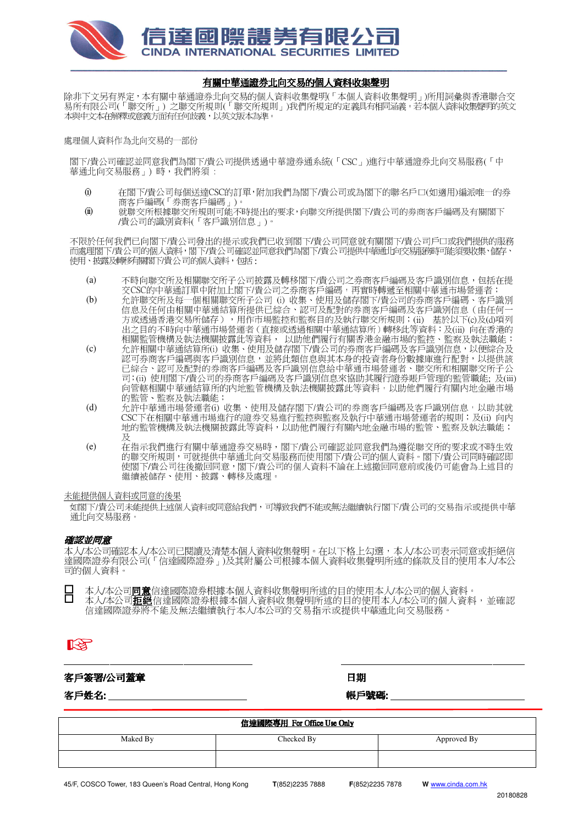

## 有關中華通證券北向交易的個人資料收集聲明

除非下文另有界定,本有關中華通證券北向交易的個人資料收集聲明(「本個人資料收集聲明」)所用詞彙與香港聯合交 易所有限公司(「聯交所」) 之聯交所規則(「聯交所規則」)我們所規定的定義具有相同涵義。若本個人資料收集聲明的英文 本與中文本在解釋或意義方面有任何歧義,以英文版本為準。

## 處理個人資料作為北向交易的一部份

閣下/貴公司確認並同意我們為閣下/貴公司提供透過中華證券通系統(「CSC」)進行中華通證券北向交易服務(「中 華通北向交易服務」) 時, 我們將須:

- (i) 在閣下/貴公司每個送達CSC的訂單,附加我們為閣下/貴公司或為閣下的聯名戶口(如適用)編派唯一的券 商客戶編碼(「券商客戶編碼」)。
- (ii) 就聯交所根據聯交所規則可能不時提出的要求,向聯交所提供閣下/貴公司的劵商客戶編碼及有關閣下 /貴公司的識別資料(「客戶識別信息」)。

不限於任何我們已向閣下/貴公司發出的提示或我們已收到閣下/貴公司同意就有關閣下/貴公司戶口或我們提供的服務 而處理閣下/貴公司的個人資料,閣下/貴公司確認並同意我們為閣下/貴公司提供中華通北向交易服務時可能須要收集、儲存、 使用、披露及轉移有關閣下貴公司的個人資料,包括:

- (a) 不時向聯交所及相關聯交所子公司披露及轉移閣下/貴公司之券商客戶編碼及客戶識別信息,包括在提 交CSC的中華通訂單中附加上閣下/貴公司之券商客戶編碼,再實時轉遞至相關中華通市場營運者;
- (b) 允許聯交所及每一個相關聯交所子公司 (i) 收集、使用及儲存閣下/貴公司的券商客戶編碼、客戶識別 信息及任何由相關中華通結算所提供已綜合、認可及配對的券商客戶編碼及客戶識別信息(由任何一 方或透過香港交易所儲存),用作市場監控和監察目的及執行聯交所規則;(ii) 基於以下(c)及(d)項列 出之目的不時向中華通市場營運者(直接或透過相關中華通結算所)轉移此等資料;及(iii) 向在香港的 相關監管機構及執法機關披露此等資料, 以助他們履行有關香港金融市場的監控、監察及執法職能;
- (c) 允許相關中華通結算所(i) 收集、使用及儲存閣下/貴公司的券商客戶編碼及客戶識別信息,以便綜合及 認可券商客戶編碼與客戶識別信息,並將此類信息與其本身的投資者身份數據庫進行配對,以提供該 已綜合、認可及配對的券商客戶編碼及客戶識別信息給中華通市場營運者、聯交所和相關聯交所子公 司;(ii) 使用閣下/貴公司的券商客戶編碼及客戶識別信息來協助其履行證券賬戶管理的監管職能; 及(iii) 向管轄相關中華通結算所的內地監管機構及執法機關披露此等資料,以助他們履行有關內地金融市場 的監管、監察及執法職能;
- (d) 允許中華通市場營運者(i) 收集、使用及儲存閣下/貴公司的券商客戶編碼及客戶識別信息,以助其就 CSC下在相關中華通市場進行的證券交易進行監控與監察及執行中華通市場營運者的規則;及(ii) 向内 地的監管機構及執法機關披露此等資料,以助他們履行有關內地金融市場的監管、監察及執法職能; 及
- (e) 在指示我們進行有關中華通證券交易時,閣下/貴公司確認並同意我們為遵從聯交所的要求或不時生效 的聯交所規則,可就提供中華通北向交易服務而使用閣下/貴公司的個人資料。閣下/貴公司同時確認即 使閣下/貴公司往後撤回同意,閣下/貴公司的個人資料不論在上述撤回同意前或後仍可能會為上述目的 繼續被儲存、使用、披露、轉移及處理。

未能提供個人資料或同意的後果

如閣下/貴公司未能提供上述個人資料或同意給我們,可導致我們不能或無法繼續執行閣下/貴公司的交易指示或提供中華 通北向交易服務。

## 確認並同意

本人/本公司確認本人/本公司已閱讀及清楚本個人資料收集聲明。在以下格上勾選,本人/本公司表示同意或拒絕信 達國際證券有限公司(「信達國際證券」)及其附屬公司根據本個人資料收集聲明所述的條款及目的使用本人/本公 司的個人資料。

 本人/本公司同意信達國際證券根據本個人資料收集聲明所述的目的使用本人/本公司的個人資料。 ■ 本人/本公司<u>再爲</u>信建國院磁分低隊平圖八員性收亲事为所述的目的使用本人/本公司的個人員性<br>□ 本人/本公司**拒絕**信達國際證券根據本個人資料收集聲明所述的目的使用本人/本公司的個人資料,並確認 信達國際證券將不能及無法繼續執行本人/本公司的交易指示或提供中華通北向交易服務。

# 陉

## 客戶簽署/公司蓋章 日期

客戶姓名: \_\_\_\_\_\_\_\_\_\_\_\_\_\_\_\_\_\_\_\_\_\_\_\_\_\_\_\_\_ : \_\_\_\_\_\_\_\_\_\_\_\_\_\_\_\_\_\_\_\_\_\_\_\_\_\_\_\_\_ : \_\_\_\_\_\_\_\_\_\_\_\_\_\_\_\_\_\_\_\_\_\_\_\_\_\_\_\_\_\_ 帳戶號碼:\_\_\_\_\_\_\_\_\_\_\_\_\_\_\_\_\_\_\_\_\_\_\_\_\_\_\_\_ \_\_\_\_\_\_\_\_\_\_\_\_\_\_\_\_\_\_\_\_\_\_\_\_\_\_\_\_ \_\_\_\_\_\_\_\_\_\_\_\_\_\_\_\_\_\_\_\_\_\_\_\_\_\_\_\_\_

| 信達國際專用 For Office Use Only |            |             |  |
|----------------------------|------------|-------------|--|
| Maked By                   | Checked By | Approved By |  |
|                            |            |             |  |